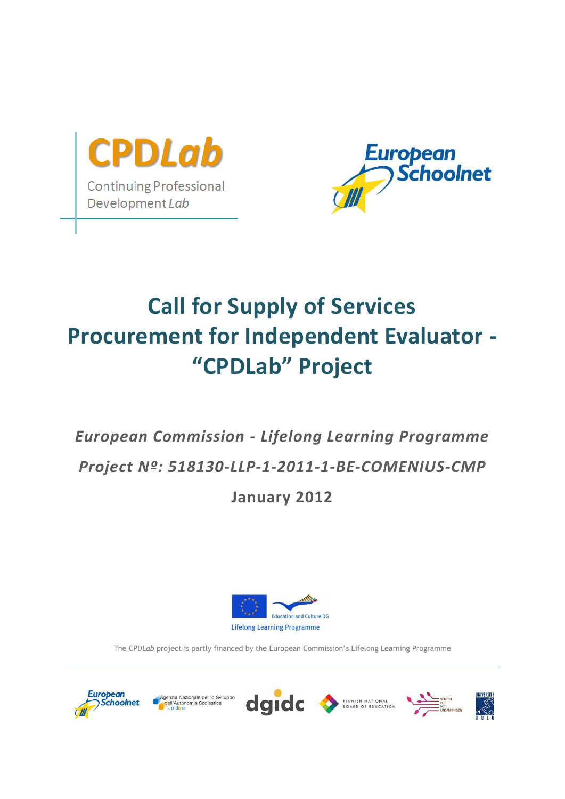



## **Call for Supply of Services Procurement for Independent Evaluator - "CPDLab" Project**

# *European Commission - Lifelong Learning Programme Project Nº: 518130-LLP-1-2011-1-BE-COMENIUS-CMP*

## **January 2012**



The CPD*Lab* project is partly financed by the European Commission's Lifelong Learning Programme







FINNISH NATIONAL



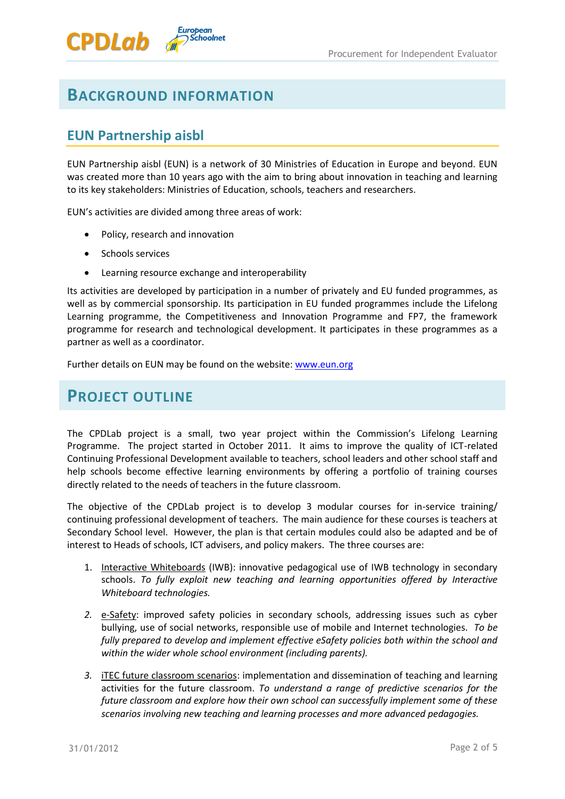

European<br>OSchoolnet

### **EUN Partnership aisbl**

**CPDLab** 

EUN Partnership aisbl (EUN) is a network of 30 Ministries of Education in Europe and beyond. EUN was created more than 10 years ago with the aim to bring about innovation in teaching and learning to its key stakeholders: Ministries of Education, schools, teachers and researchers.

EUN's activities are divided among three areas of work:

- Policy, research and innovation
- Schools services
- Learning resource exchange and interoperability

Its activities are developed by participation in a number of privately and EU funded programmes, as well as by commercial sponsorship. Its participation in EU funded programmes include the Lifelong Learning programme, the Competitiveness and Innovation Programme and FP7, the framework programme for research and technological development. It participates in these programmes as a partner as well as a coordinator.

Further details on EUN may be found on the website: [www.eun.org](http://www.eun.org/)

## **PROJECT OUTLINE**

The CPDLab project is a small, two year project within the Commission's Lifelong Learning Programme. The project started in October 2011. It aims to improve the quality of ICT-related Continuing Professional Development available to teachers, school leaders and other school staff and help schools become effective learning environments by offering a portfolio of training courses directly related to the needs of teachers in the future classroom.

The objective of the CPDLab project is to develop 3 modular courses for in-service training/ continuing professional development of teachers. The main audience for these courses is teachers at Secondary School level. However, the plan is that certain modules could also be adapted and be of interest to Heads of schools, ICT advisers, and policy makers. The three courses are:

- 1. Interactive Whiteboards (IWB): innovative pedagogical use of IWB technology in secondary schools. *To fully exploit new teaching and learning opportunities offered by Interactive Whiteboard technologies.*
- *2.* e-Safety: improved safety policies in secondary schools, addressing issues such as cyber bullying, use of social networks, responsible use of mobile and Internet technologies. *To be fully prepared to develop and implement effective eSafety policies both within the school and within the wider whole school environment (including parents).*
- *3.* iTEC future classroom scenarios: implementation and dissemination of teaching and learning activities for the future classroom. *To understand a range of predictive scenarios for the future classroom and explore how their own school can successfully implement some of these scenarios involving new teaching and learning processes and more advanced pedagogies.*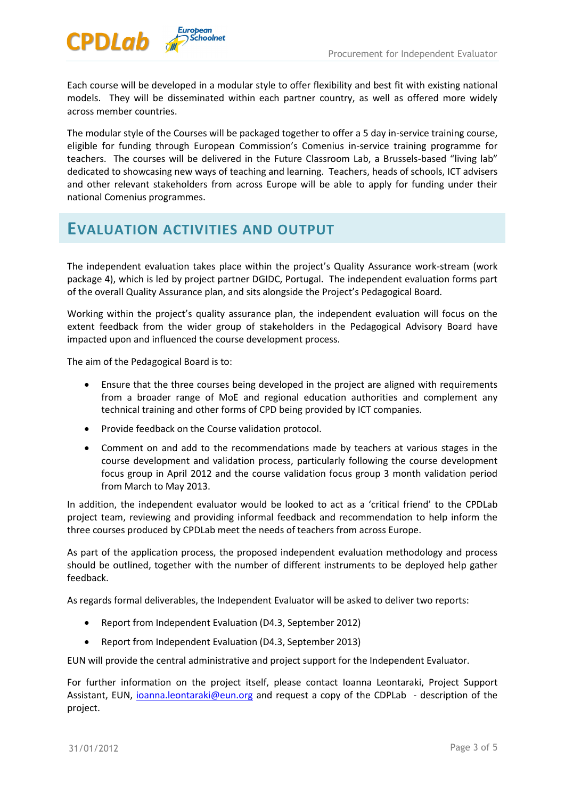

Each course will be developed in a modular style to offer flexibility and best fit with existing national models. They will be disseminated within each partner country, as well as offered more widely across member countries.

The modular style of the Courses will be packaged together to offer a 5 day in-service training course, eligible for funding through European Commission's Comenius in-service training programme for teachers. The courses will be delivered in the Future Classroom Lab, a Brussels-based "living lab" dedicated to showcasing new ways of teaching and learning. Teachers, heads of schools, ICT advisers and other relevant stakeholders from across Europe will be able to apply for funding under their national Comenius programmes.

### **EVALUATION ACTIVITIES AND OUTPUT**

European<br>OSchoolnet

The independent evaluation takes place within the project's Quality Assurance work-stream (work package 4), which is led by project partner DGIDC, Portugal. The independent evaluation forms part of the overall Quality Assurance plan, and sits alongside the Project's Pedagogical Board.

Working within the project's quality assurance plan, the independent evaluation will focus on the extent feedback from the wider group of stakeholders in the Pedagogical Advisory Board have impacted upon and influenced the course development process.

The aim of the Pedagogical Board is to:

- Ensure that the three courses being developed in the project are aligned with requirements from a broader range of MoE and regional education authorities and complement any technical training and other forms of CPD being provided by ICT companies.
- Provide feedback on the Course validation protocol.
- Comment on and add to the recommendations made by teachers at various stages in the course development and validation process, particularly following the course development focus group in April 2012 and the course validation focus group 3 month validation period from March to May 2013.

In addition, the independent evaluator would be looked to act as a 'critical friend' to the CPDLab project team, reviewing and providing informal feedback and recommendation to help inform the three courses produced by CPDLab meet the needs of teachers from across Europe.

As part of the application process, the proposed independent evaluation methodology and process should be outlined, together with the number of different instruments to be deployed help gather feedback.

As regards formal deliverables, the Independent Evaluator will be asked to deliver two reports:

- Report from Independent Evaluation (D4.3, September 2012)
- Report from Independent Evaluation (D4.3, September 2013)

EUN will provide the central administrative and project support for the Independent Evaluator.

For further information on the project itself, please contact Ioanna Leontaraki, Project Support Assistant, EUN, [ioanna.leontaraki@eun.org](mailto:ioanna.leontaraki@eun.org) and request a copy of the CDPLab - description of the project.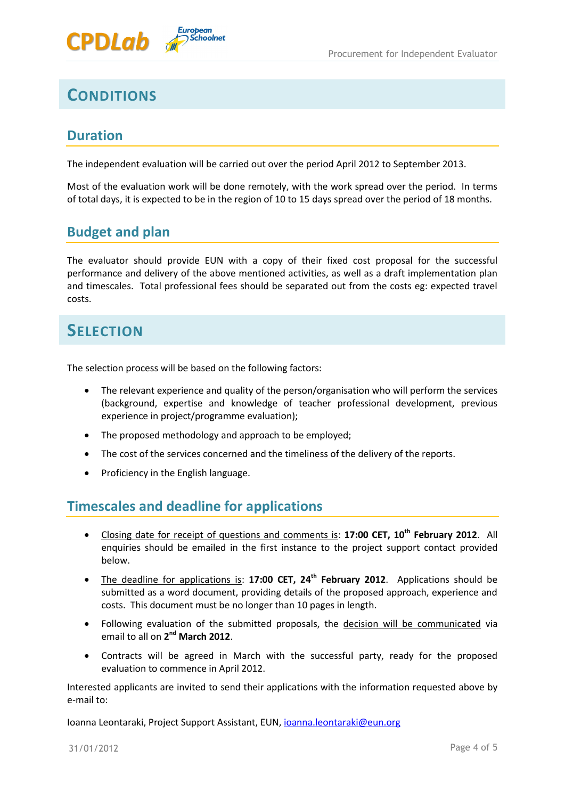



## **CONDITIONS**

#### **Duration**

The independent evaluation will be carried out over the period April 2012 to September 2013.

Most of the evaluation work will be done remotely, with the work spread over the period. In terms of total days, it is expected to be in the region of 10 to 15 days spread over the period of 18 months.

#### **Budget and plan**

The evaluator should provide EUN with a copy of their fixed cost proposal for the successful performance and delivery of the above mentioned activities, as well as a draft implementation plan and timescales. Total professional fees should be separated out from the costs eg: expected travel costs.

## **SELECTION**

The selection process will be based on the following factors:

- The relevant experience and quality of the person/organisation who will perform the services (background, expertise and knowledge of teacher professional development, previous experience in project/programme evaluation);
- The proposed methodology and approach to be employed;
- The cost of the services concerned and the timeliness of the delivery of the reports.
- Proficiency in the English language.

#### **Timescales and deadline for applications**

- Closing date for receipt of questions and comments is: **17:00 CET, 10th February 2012**. All enquiries should be emailed in the first instance to the project support contact provided below.
- The deadline for applications is: **17:00 CET, 24th February 2012**. Applications should be submitted as a word document, providing details of the proposed approach, experience and costs. This document must be no longer than 10 pages in length.
- Following evaluation of the submitted proposals, the decision will be communicated via email to all on 2<sup>nd</sup> March 2012.
- Contracts will be agreed in March with the successful party, ready for the proposed evaluation to commence in April 2012.

Interested applicants are invited to send their applications with the information requested above by e-mail to:

Ioanna Leontaraki, Project Support Assistant, EUN, [ioanna.leontaraki@eun.org](mailto:ioanna.leontaraki@eun.org)